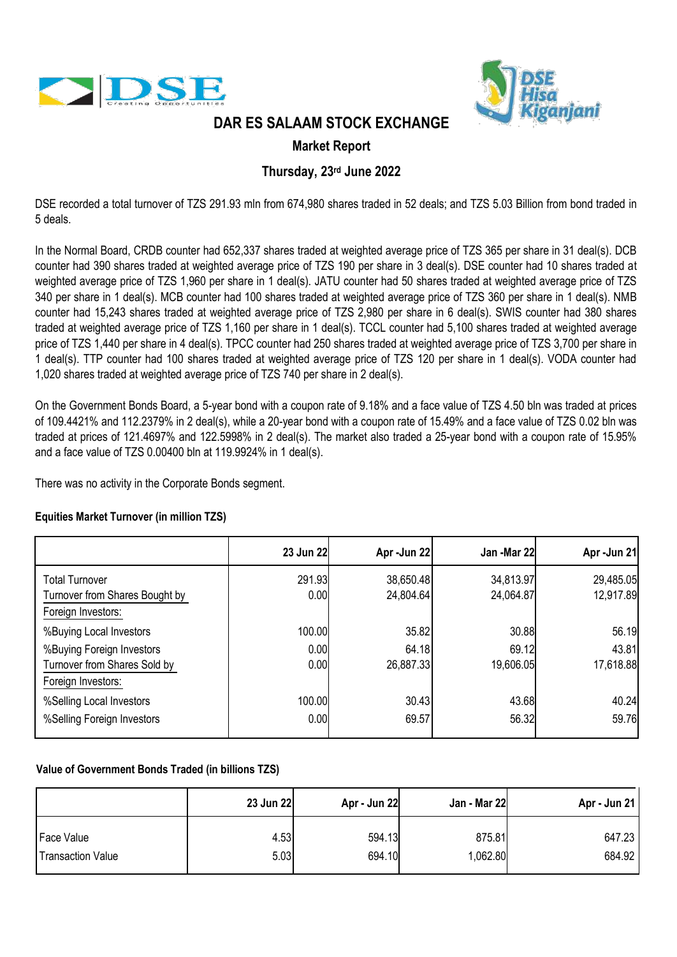



## **DAR ES SALAAM STOCK EXCHANGE**

### **Market Report**

## **Thursday, 23rd June 2022**

DSE recorded a total turnover of TZS 291.93 mln from 674,980 shares traded in 52 deals; and TZS 5.03 Billion from bond traded in 5 deals.

In the Normal Board, CRDB counter had 652,337 shares traded at weighted average price of TZS 365 per share in 31 deal(s). DCB counter had 390 shares traded at weighted average price of TZS 190 per share in 3 deal(s). DSE counter had 10 shares traded at weighted average price of TZS 1,960 per share in 1 deal(s). JATU counter had 50 shares traded at weighted average price of TZS 340 per share in 1 deal(s). MCB counter had 100 shares traded at weighted average price of TZS 360 per share in 1 deal(s). NMB counter had 15,243 shares traded at weighted average price of TZS 2,980 per share in 6 deal(s). SWIS counter had 380 shares traded at weighted average price of TZS 1,160 per share in 1 deal(s). TCCL counter had 5,100 shares traded at weighted average price of TZS 1,440 per share in 4 deal(s). TPCC counter had 250 shares traded at weighted average price of TZS 3,700 per share in 1 deal(s). TTP counter had 100 shares traded at weighted average price of TZS 120 per share in 1 deal(s). VODA counter had 1,020 shares traded at weighted average price of TZS 740 per share in 2 deal(s).

On the Government Bonds Board, a 5-year bond with a coupon rate of 9.18% and a face value of TZS 4.50 bln was traded at prices of 109.4421% and 112.2379% in 2 deal(s), while a 20-year bond with a coupon rate of 15.49% and a face value of TZS 0.02 bln was traded at prices of 121.4697% and 122.5998% in 2 deal(s). The market also traded a 25-year bond with a coupon rate of 15.95% and a face value of TZS 0.00400 bln at 119.9924% in 1 deal(s).

There was no activity in the Corporate Bonds segment.

### **Equities Market Turnover (in million TZS)**

|                                                                                 | 23 Jun 22      | Apr-Jun 22             | Jan -Mar 22            | Apr-Jun 21             |
|---------------------------------------------------------------------------------|----------------|------------------------|------------------------|------------------------|
| <b>Total Turnover</b><br>Turnover from Shares Bought by<br>Foreign Investors:   | 291.93<br>0.00 | 38,650.48<br>24,804.64 | 34,813.97<br>24,064.87 | 29,485.05<br>12,917.89 |
| %Buying Local Investors                                                         | 100.00         | 35.82                  | 30.88                  | 56.19                  |
| %Buying Foreign Investors<br>Turnover from Shares Sold by<br>Foreign Investors: | 0.00<br>0.00   | 64.18<br>26,887.33     | 69.12<br>19,606.05     | 43.81<br>17,618.88     |
| %Selling Local Investors<br>%Selling Foreign Investors                          | 100.00<br>0.00 | 30.43<br>69.57         | 43.68<br>56.32         | 40.24<br>59.76         |

### **Value of Government Bonds Traded (in billions TZS)**

|                          | 23 Jun 22 | Apr - Jun 22 | Jan - Mar 22 | Apr - Jun 21 |
|--------------------------|-----------|--------------|--------------|--------------|
| Face Value               | 4.53      | 594.13       | 875.81       | 647.23       |
| <b>Transaction Value</b> | 5.03      | 694.10       | 1,062.80     | 684.92       |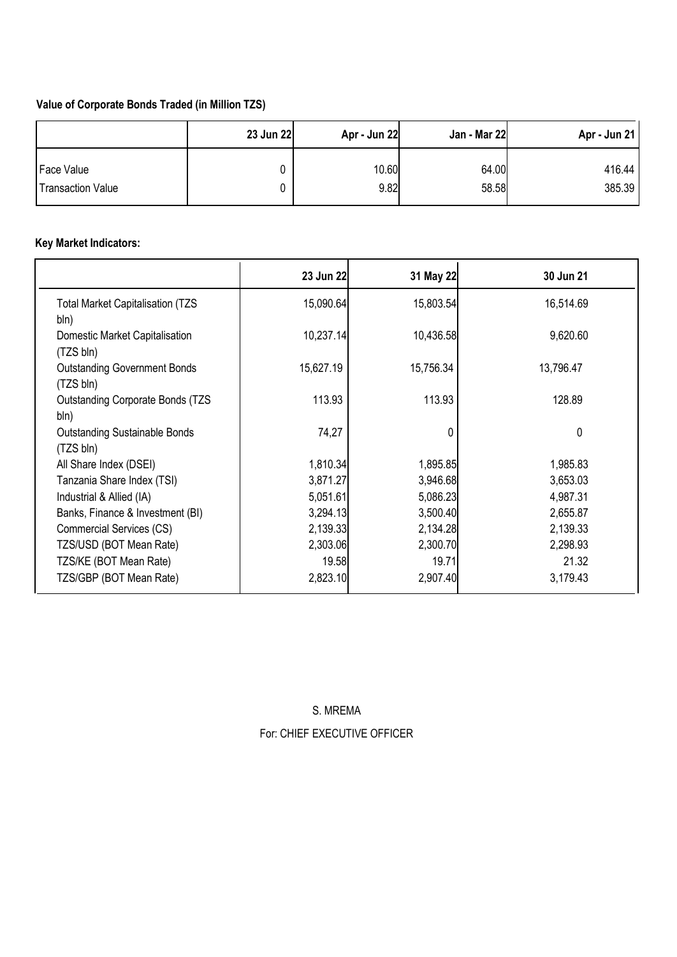## **Value of Corporate Bonds Traded (in Million TZS)**

|                          | 23 Jun 22 | Apr - Jun 22 | Jan - Mar 22 | Apr - Jun 21 |
|--------------------------|-----------|--------------|--------------|--------------|
| Face Value               |           | 10.60        | 64.00        | 416.44       |
| <b>Transaction Value</b> |           | 9.82         | 58.58        | 385.39       |

# **Key Market Indicators:**

|                                                   | 23 Jun 22 | 31 May 22 | 30 Jun 21 |
|---------------------------------------------------|-----------|-----------|-----------|
| <b>Total Market Capitalisation (TZS)</b><br>bln)  | 15,090.64 | 15,803.54 | 16,514.69 |
| Domestic Market Capitalisation<br>(TZS bln)       | 10,237.14 | 10,436.58 | 9,620.60  |
| <b>Outstanding Government Bonds</b><br>(TZS bln)  | 15,627.19 | 15,756.34 | 13,796.47 |
| <b>Outstanding Corporate Bonds (TZS)</b><br>bln)  | 113.93    | 113.93    | 128.89    |
| <b>Outstanding Sustainable Bonds</b><br>(TZS bln) | 74,27     |           | 0         |
| All Share Index (DSEI)                            | 1,810.34  | 1,895.85  | 1,985.83  |
| Tanzania Share Index (TSI)                        | 3,871.27  | 3,946.68  | 3,653.03  |
| Industrial & Allied (IA)                          | 5,051.61  | 5,086.23  | 4,987.31  |
| Banks, Finance & Investment (BI)                  | 3,294.13  | 3,500.40  | 2,655.87  |
| Commercial Services (CS)                          | 2,139.33  | 2,134.28  | 2,139.33  |
| TZS/USD (BOT Mean Rate)                           | 2,303.06  | 2,300.70  | 2,298.93  |
| TZS/KE (BOT Mean Rate)                            | 19.58     | 19.71     | 21.32     |
| TZS/GBP (BOT Mean Rate)                           | 2,823.10  | 2,907.40  | 3,179.43  |

S. MREMA For: CHIEF EXECUTIVE OFFICER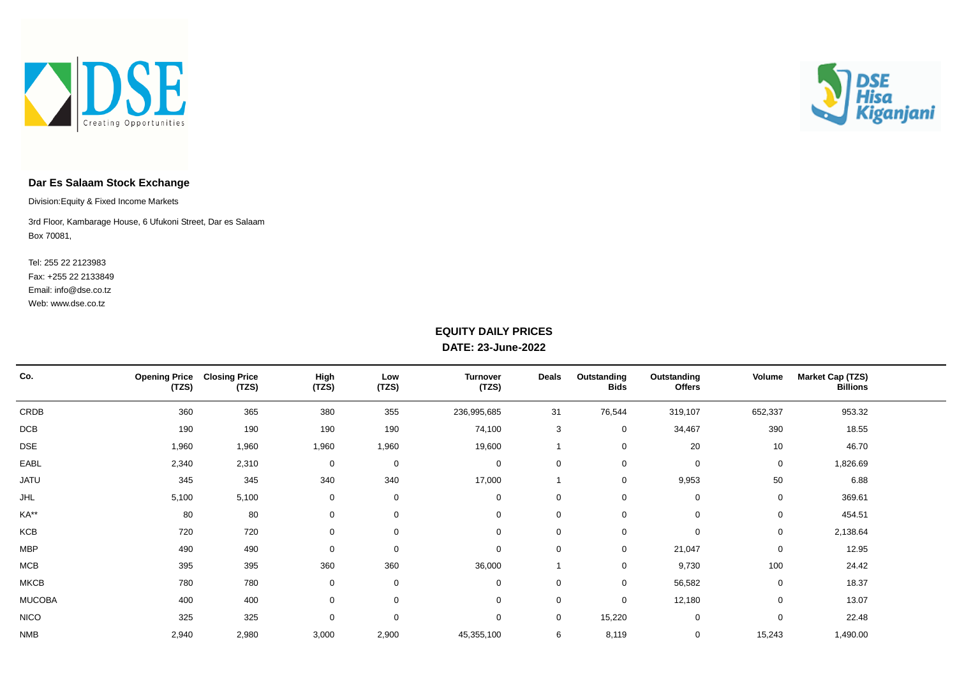



### **Dar Es Salaam Stock Exchange**

Division:Equity & Fixed Income Markets

Box 70081, 3rd Floor, Kambarage House, 6 Ufukoni Street, Dar es Salaam

Web: www.dse.co.tz Fax: +255 22 2133849 Tel: 255 22 2123983 Email: info@dse.co.tz

#### **EQUITY DAILY PRICES DATE: 23-June-2022**

| Co.           | <b>Opening Price</b><br>(TZS) | <b>Closing Price</b><br>(TZS) | High<br>(TZS) | Low<br>(TZS) | <b>Turnover</b><br>(TZS) | Deals       | Outstanding<br><b>Bids</b> | Outstanding<br><b>Offers</b> | Volume      | <b>Market Cap (TZS)</b><br><b>Billions</b> |  |
|---------------|-------------------------------|-------------------------------|---------------|--------------|--------------------------|-------------|----------------------------|------------------------------|-------------|--------------------------------------------|--|
| CRDB          | 360                           | 365                           | 380           | 355          | 236,995,685              | 31          | 76,544                     | 319,107                      | 652,337     | 953.32                                     |  |
| DCB           | 190                           | 190                           | 190           | 190          | 74,100                   | 3           | 0                          | 34,467                       | 390         | 18.55                                      |  |
| <b>DSE</b>    | 1,960                         | 1,960                         | 1,960         | 1,960        | 19,600                   |             | 0                          | 20                           | 10          | 46.70                                      |  |
| EABL          | 2,340                         | 2,310                         | 0             | $\mathbf 0$  | $\mathbf 0$              | $\mathbf 0$ | $\mathbf 0$                | $\mathbf 0$                  | $\mathbf 0$ | 1,826.69                                   |  |
| <b>JATU</b>   | 345                           | 345                           | 340           | 340          | 17,000                   |             | 0                          | 9,953                        | 50          | 6.88                                       |  |
| <b>JHL</b>    | 5,100                         | 5,100                         | 0             | $\mathbf 0$  | 0                        | 0           | 0                          | 0                            | 0           | 369.61                                     |  |
| KA**          | 80                            | 80                            | 0             | $\mathbf 0$  | $\mathbf 0$              | $\mathbf 0$ | 0                          | $\mathbf 0$                  | 0           | 454.51                                     |  |
| KCB           | 720                           | 720                           | 0             | $\mathbf 0$  | $\mathbf 0$              | $\mathbf 0$ | $\mathbf 0$                | 0                            | 0           | 2,138.64                                   |  |
| <b>MBP</b>    | 490                           | 490                           | 0             | 0            | $\mathbf 0$              | 0           | 0                          | 21,047                       | 0           | 12.95                                      |  |
| MCB           | 395                           | 395                           | 360           | 360          | 36,000                   |             | $\mathbf 0$                | 9,730                        | 100         | 24.42                                      |  |
| <b>MKCB</b>   | 780                           | 780                           | 0             | $\mathbf 0$  | $\mathbf 0$              | $\mathbf 0$ | 0                          | 56,582                       | $\mathbf 0$ | 18.37                                      |  |
| <b>MUCOBA</b> | 400                           | 400                           | 0             | $\mathbf 0$  | $\mathbf 0$              | $\mathbf 0$ | 0                          | 12,180                       | 0           | 13.07                                      |  |
| <b>NICO</b>   | 325                           | 325                           | 0             | 0            | $\mathbf 0$              | $\mathbf 0$ | 15,220                     | 0                            | 0           | 22.48                                      |  |
| <b>NMB</b>    | 2,940                         | 2,980                         | 3,000         | 2,900        | 45,355,100               | 6           | 8,119                      | 0                            | 15,243      | 1,490.00                                   |  |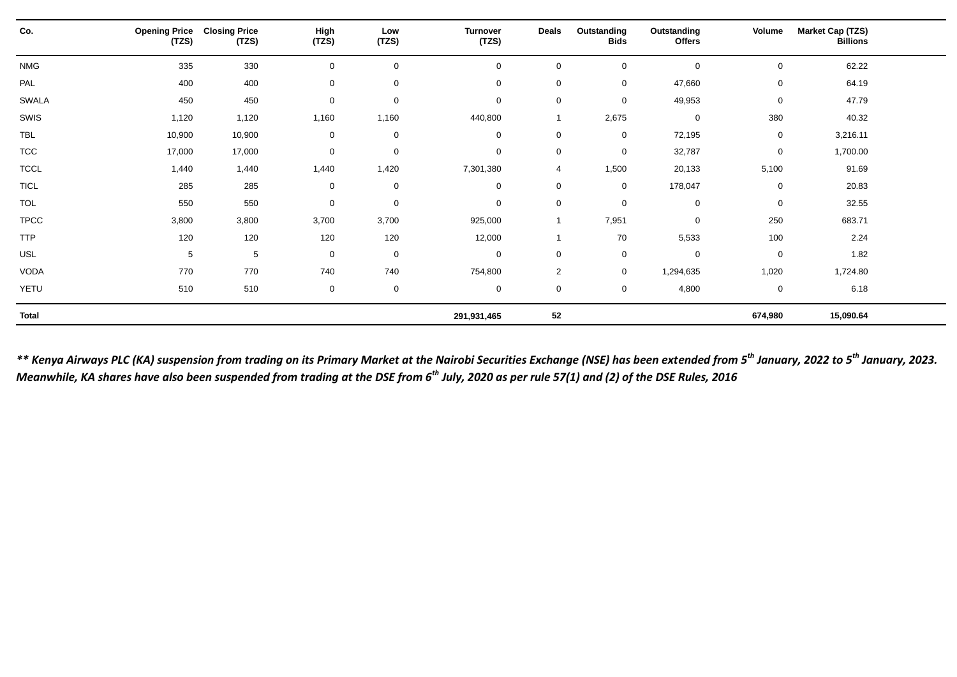| Co.          | <b>Opening Price</b><br>(TZS) | <b>Closing Price</b><br>(TZS) | High<br>(TZS) | Low<br>(TZS) | <b>Turnover</b><br>(TZS) | <b>Deals</b>   | Outstanding<br><b>Bids</b> | Outstanding<br><b>Offers</b> | Volume      | <b>Market Cap (TZS)</b><br><b>Billions</b> |  |
|--------------|-------------------------------|-------------------------------|---------------|--------------|--------------------------|----------------|----------------------------|------------------------------|-------------|--------------------------------------------|--|
| <b>NMG</b>   | 335                           | 330                           | $\mathbf 0$   | $\mathbf 0$  | $\mathbf 0$              | $\Omega$       | $\mathbf 0$                | $\mathbf 0$                  | 0           | 62.22                                      |  |
| PAL          | 400                           | 400                           | $\mathbf 0$   | $\mathbf 0$  | $\mathbf 0$              | $\mathbf 0$    | $\mathbf 0$                | 47,660                       | 0           | 64.19                                      |  |
| <b>SWALA</b> | 450                           | 450                           | $\pmb{0}$     | $\mathbf 0$  | 0                        | $\mathbf 0$    | 0                          | 49,953                       | $\mathsf 0$ | 47.79                                      |  |
| SWIS         | 1,120                         | 1,120                         | 1,160         | 1,160        | 440,800                  |                | 2,675                      | $\mathbf 0$                  | 380         | 40.32                                      |  |
| <b>TBL</b>   | 10,900                        | 10,900                        | $\mathbf 0$   | $\mathbf 0$  | $\mathbf 0$              | $\mathbf 0$    | $\mathbf 0$                | 72,195                       | $\mathbf 0$ | 3,216.11                                   |  |
| <b>TCC</b>   | 17,000                        | 17,000                        | $\mathbf 0$   | $\mathbf 0$  | $\mathbf 0$              | $\mathbf 0$    | $\mathbf 0$                | 32,787                       | 0           | 1,700.00                                   |  |
| <b>TCCL</b>  | 1,440                         | 1,440                         | 1,440         | 1,420        | 7,301,380                | 4              | 1,500                      | 20,133                       | 5,100       | 91.69                                      |  |
| <b>TICL</b>  | 285                           | 285                           | $\mathbf 0$   | $\mathbf 0$  | 0                        | $\mathbf 0$    | $\mathbf 0$                | 178,047                      | 0           | 20.83                                      |  |
| <b>TOL</b>   | 550                           | 550                           | $\mathbf 0$   | $\mathbf 0$  | $\mathbf 0$              | $\mathbf 0$    | $\mathbf 0$                | $\mathbf 0$                  | $\mathbf 0$ | 32.55                                      |  |
| <b>TPCC</b>  | 3,800                         | 3,800                         | 3,700         | 3,700        | 925,000                  | -1             | 7,951                      | $\mathbf 0$                  | 250         | 683.71                                     |  |
| <b>TTP</b>   | 120                           | 120                           | 120           | 120          | 12,000                   |                | 70                         | 5,533                        | 100         | 2.24                                       |  |
| USL          | 5                             | 5                             | $\mathbf 0$   | $\mathbf 0$  | $\mathbf 0$              | $\mathbf 0$    | $\mathbf 0$                | $\mathbf 0$                  | 0           | 1.82                                       |  |
| VODA         | 770                           | 770                           | 740           | 740          | 754,800                  | $\overline{2}$ | $\mathbf 0$                | 1,294,635                    | 1,020       | 1,724.80                                   |  |
| YETU         | 510                           | 510                           | $\mathbf 0$   | $\mathbf 0$  | $\mathbf 0$              | $\mathbf 0$    | $\mathbf 0$                | 4,800                        | 0           | 6.18                                       |  |
| <b>Total</b> |                               |                               |               |              | 291,931,465              | 52             |                            |                              | 674,980     | 15,090.64                                  |  |

*\*\* Kenya Airways PLC (KA) suspension from trading on its Primary Market at the Nairobi Securities Exchange (NSE) has been extended from 5th January, 2022 to 5th January, 2023. Meanwhile, KA shares have also been suspended from trading at the DSE from 6th July, 2020 as per rule 57(1) and (2) of the DSE Rules, 2016*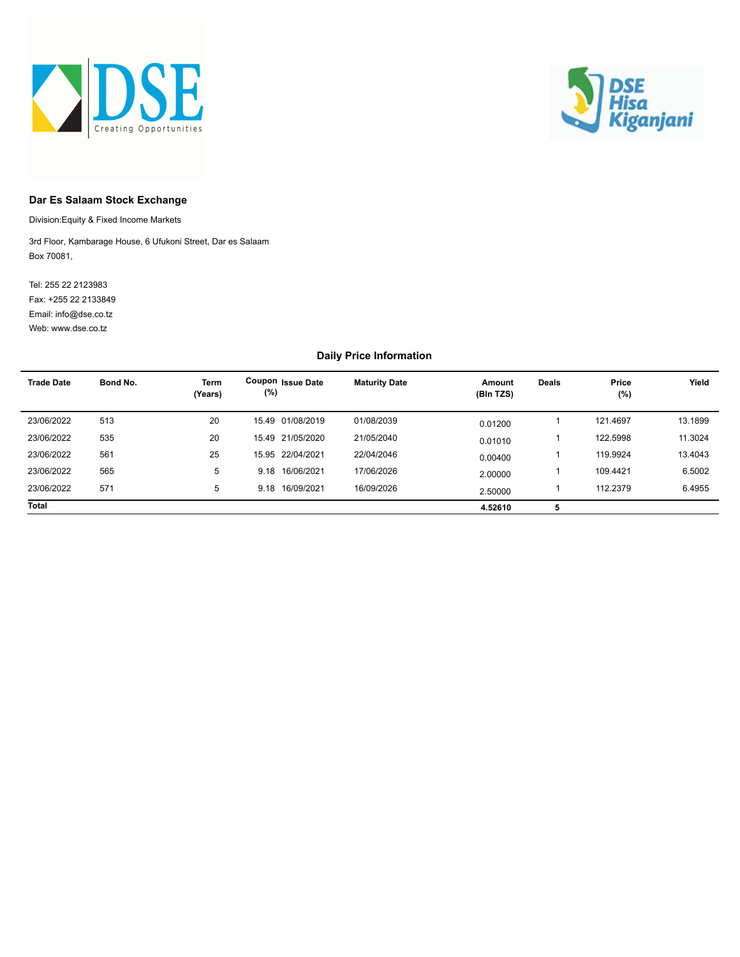



#### **Dar Es Salaam Stock Exchange**

Division:Equity & Fixed Income Markets

Box 70081, 3rd Floor, Kambarage House, 6 Ufukoni Street, Dar es Salaam

Web: www.dse.co.tz Fax: +255 22 2133849 Tel: 255 22 2123983 Email: info@dse.co.tz

#### **Daily Price Information**

| <b>Trade Date</b> | Bond No. | <b>Term</b><br>(Years) | Coupon Issue Date<br>(%) | <b>Maturity Date</b> | Amount<br>(Bln TZS) | <b>Deals</b> | Price<br>(%) | Yield   |
|-------------------|----------|------------------------|--------------------------|----------------------|---------------------|--------------|--------------|---------|
| 23/06/2022        | 513      | 20                     | 15.49 01/08/2019         | 01/08/2039           | 0.01200             |              | 121.4697     | 13.1899 |
| 23/06/2022        | 535      | 20                     | 15.49 21/05/2020         | 21/05/2040           | 0.01010             |              | 122.5998     | 11.3024 |
| 23/06/2022        | 561      | 25                     | 15.95 22/04/2021         | 22/04/2046           | 0.00400             |              | 119.9924     | 13.4043 |
| 23/06/2022        | 565      | 5                      | 9.18 16/06/2021          | 17/06/2026           | 2.00000             |              | 109.4421     | 6.5002  |
| 23/06/2022        | 571      | 5                      | 9.18 16/09/2021          | 16/09/2026           | 2.50000             |              | 112.2379     | 6.4955  |
| <b>Total</b>      |          |                        |                          |                      | 4.52610             | 5            |              |         |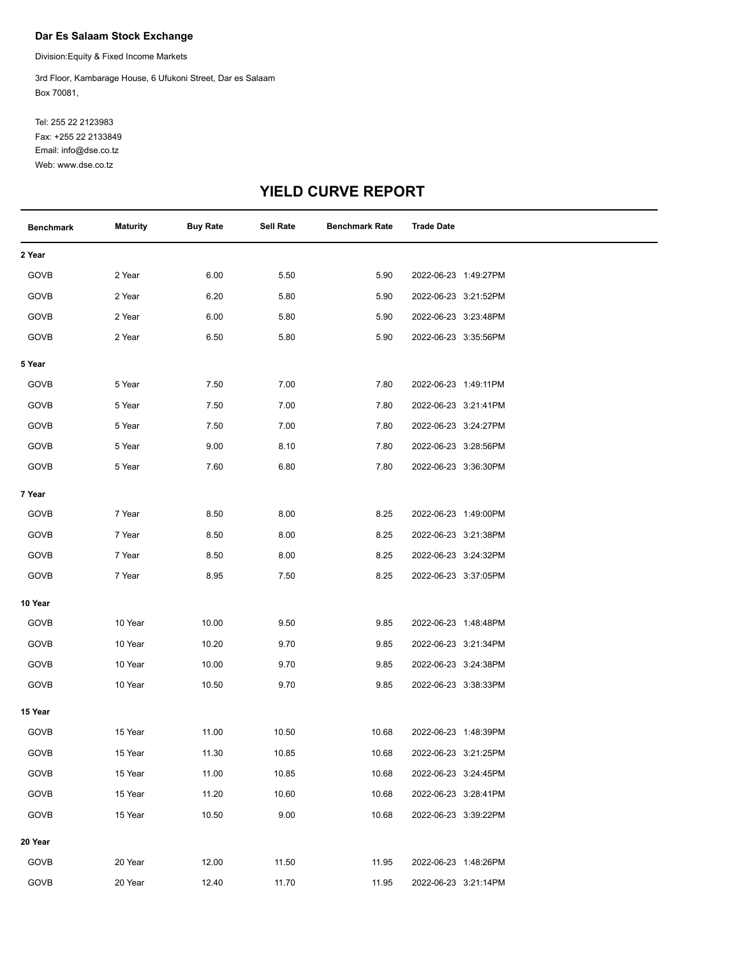#### **Dar Es Salaam Stock Exchange**

Division:Equity & Fixed Income Markets

Box 70081, 3rd Floor, Kambarage House, 6 Ufukoni Street, Dar es Salaam

Web: www.dse.co.tz Fax: +255 22 2133849 Tel: 255 22 2123983 Email: info@dse.co.tz

# **YIELD CURVE REPORT**

| <b>Benchmark</b> | <b>Maturity</b> | <b>Buy Rate</b> | Sell Rate | <b>Benchmark Rate</b> | <b>Trade Date</b>    |  |
|------------------|-----------------|-----------------|-----------|-----------------------|----------------------|--|
| 2 Year           |                 |                 |           |                       |                      |  |
| GOVB             | 2 Year          | 6.00            | 5.50      | 5.90                  | 2022-06-23 1:49:27PM |  |
| GOVB             | 2 Year          | 6.20            | 5.80      | 5.90                  | 2022-06-23 3:21:52PM |  |
| GOVB             | 2 Year          | 6.00            | 5.80      | 5.90                  | 2022-06-23 3:23:48PM |  |
| GOVB             | 2 Year          | 6.50            | 5.80      | 5.90                  | 2022-06-23 3:35:56PM |  |
| 5 Year           |                 |                 |           |                       |                      |  |
| GOVB             | 5 Year          | 7.50            | 7.00      | 7.80                  | 2022-06-23 1:49:11PM |  |
| GOVB             | 5 Year          | 7.50            | 7.00      | 7.80                  | 2022-06-23 3:21:41PM |  |
| GOVB             | 5 Year          | 7.50            | 7.00      | 7.80                  | 2022-06-23 3:24:27PM |  |
| GOVB             | 5 Year          | 9.00            | 8.10      | 7.80                  | 2022-06-23 3:28:56PM |  |
| GOVB             | 5 Year          | 7.60            | 6.80      | 7.80                  | 2022-06-23 3:36:30PM |  |
| 7 Year           |                 |                 |           |                       |                      |  |
| GOVB             | 7 Year          | 8.50            | 8.00      | 8.25                  | 2022-06-23 1:49:00PM |  |
| GOVB             | 7 Year          | 8.50            | 8.00      | 8.25                  | 2022-06-23 3:21:38PM |  |
| GOVB             | 7 Year          | 8.50            | 8.00      | 8.25                  | 2022-06-23 3:24:32PM |  |
| GOVB             | 7 Year          | 8.95            | 7.50      | 8.25                  | 2022-06-23 3:37:05PM |  |
| 10 Year          |                 |                 |           |                       |                      |  |
| GOVB             | 10 Year         | 10.00           | 9.50      | 9.85                  | 2022-06-23 1:48:48PM |  |
| GOVB             | 10 Year         | 10.20           | 9.70      | 9.85                  | 2022-06-23 3:21:34PM |  |
| GOVB             | 10 Year         | 10.00           | 9.70      | 9.85                  | 2022-06-23 3:24:38PM |  |
| GOVB             | 10 Year         | 10.50           | 9.70      | 9.85                  | 2022-06-23 3:38:33PM |  |
| 15 Year          |                 |                 |           |                       |                      |  |
| GOVB             | 15 Year         | 11.00           | 10.50     | 10.68                 | 2022-06-23 1:48:39PM |  |
| GOVB             | 15 Year         | 11.30           | 10.85     | 10.68                 | 2022-06-23 3:21:25PM |  |
| GOVB             | 15 Year         | 11.00           | 10.85     | 10.68                 | 2022-06-23 3:24:45PM |  |
| GOVB             | 15 Year         | 11.20           | 10.60     | 10.68                 | 2022-06-23 3:28:41PM |  |
| GOVB             | 15 Year         | 10.50           | 9.00      | 10.68                 | 2022-06-23 3:39:22PM |  |
| 20 Year          |                 |                 |           |                       |                      |  |
| GOVB             | 20 Year         | 12.00           | 11.50     | 11.95                 | 2022-06-23 1:48:26PM |  |
| GOVB             | 20 Year         | 12.40           | 11.70     | 11.95                 | 2022-06-23 3:21:14PM |  |